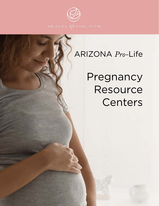

# ARIZONA *Pro-*Life

Pregnancy Resource Centers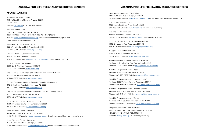#### ARIZONA PRO-LIFE PREGNANCY RESOURCE CENTERS

#### CENTRAL ARIZONA

1st Way of Maricopa County 3501 N. 16th Street, Phoenix, Arizona 85016 602.261.7522 Website: [1stway.net](http://1stway.net) Email: [info@1stway.net](mailto:info@1stway.net)

Aid to Women Center 1328 E Apache Blvd, Tempe, AZ 8528 480.966.1902 24 HOUR HOTLINE: 1-800-712-HELP (4357) Website: [http://aidtowomencenter.org](http://www.catholiccharitiesaz.org) Email: [aidtowomencenter@gmail.com](mailto:aidtowomencenter@gmail.com) Email: [info@aidtowmencenter.org](mailto:info@aidtowmencenter.org)

Alpha Pregnancy Resource Center 1822 W. Indian School Rd., Phoenix, AZ 85015 602.285.0050 Website: <http://alphaaz.org>

Catholic Charities Community Services 4747 N. 7th Ave., Phoenix AZ 85013 602.285.1999 Website: [www.catholiccharitiesaz.org](http://www.catholiccharitiesaz.org) Email: [info@cc-az.org](mailto:info@cc-az.org)

Christian Family Care Agency 3603 North 7th Ave., Phoenix, AZ 85013 602.234.1935 Website: [www.cfcare.org](http://www.cfcare.org)

Choices Pregnancy Centers of Greater Phoenix - Glendale Center 10555 N 58th Drive, Glendale, AZ 85302 623.486.5232 Website: [www.choicesaz.org](http://www.choicesaz.org)

Choices Pregnancy Centers of Greater Phoenix - Mesa Center 1818 E. Southern Ave., Suite 13A, Mesa, AZ 85204 480.733.2740 Website: [www.choicesaz.org](http://www.choicesaz.org)

Choices Pregnancy Center of Greater Phoenix, Inc. - Tempe Center 605 E. Broadway Rd., Tempe, AZ 85282 480.306.4612 Website: [www.choicesaz.org](http://www.choicesaz.org)

Hope Women's Center - Apache Junction 252 N. Ironwood Dr., Apache Junction, AZ 85220 480.983.4673 Website: [hopewomenscenter.org](http://hopewomenscenter.org)

Hope Women's Center - Phoenix 1640 E. McDowell Road Phoenix, AZ 85006 (602) 715-0999 Website: [hopewomenscenter.org](http://hopewomenscenter.org) Email: [marybeth@hopewomenscenter.org](mailto:marybeth@hopewomenscenter.org)

Hope Women's Center - Coolidge 850 N. California Street Coolidge, AZ 85128 (520) 723-8888 Website: [hopewomenscenter.org](http://hopewomenscenter.org) Email: [jolyn@hopewomenscenter.org](mailto:jolyn@hopewomenscenter.org)

# ARIZONA PRO-LIFE PREGNANCY RESOURCE CENTERS

Hope Women's Center - West Valley 12101 NW Grand Ave El Mirage, AZ 85335 623-875-4549 Website: [hopewomenscenter.org](http://hopewomenscenter.org) Email: [megan@hopewomenscenter.org](mailto:megan@hopewomenscenter.org)

Life Choices Women's Clinic 8326 North 7th Street Phoenix, AZ 85020 602.305.5100 Website: [www.lcwcaz.org](http://www.lcwcaz.org) Email: [info@lcwcaz.org](mailto:info@lcwcaz.org)

Life Choices Women's Clinic 3516 W. McDowell, Phoenix, AZ 85009 602.305.5100 Website: [www.lcwcaz.org](http://www.lcwcaz.org) Email: [info@lcwcaz.org](mailto:info@lcwcaz.org)

Living Hope Women's Center - Phoenix Center 1640 E. Mcdowell Rd., Phoenix, AZ 85006 480.750.9044 Website:<http://livinghopecenters.org>

Maggie's Place Maternity Home 4001 N. 30th St. Phoenix, AZ 85016 602-262-5555 Website: [www.maggiesplace.org](http://www.maggiesplace.org)

Avondale Baptist Pregnancy Center - Avondale Address: 1001 N. Central Ave. Avondale, AZ 85323 Phone: 623-932-2723 Website: <https://abcaz.net/nlpc.html>

New Life Pregnancy Center - Mesa Address: 819 S. MacDonald Mesa, AZ 85210 Phone:(602) 726-2307 Website: [www.newlifepregnancy.com](http://www.newlifepregnancy.com)

New Life Pregnancy Center - Phoenix (metro) Address: 2632 W. Augusta Ave. Phoenix, AZ 85051 Phone:(602) 346-2300 Website: [www.newlifepregnancy.com](http://www.newlifepregnancy.com)

New Life Pregnancy Center - Phoenix (south) Address: 1431 E. Southern Ave. Phoenix, AZ 85040 Phone:(602) 243-1614 Website: [www.newlifepregnancy.com](http://www.newlifepregnancy.com)

New Life Pregnancy Center - Tempe Address: 1001 E. Southern Ave. Tempe, AZ 85282 Phone:(480) 838-9071 Website: [www.newlifepregnancy.com](http://www.newlifepregnancy.com)

Pregnancy Resource Clinic of Arizona 21050 N. Tatum Blvd., Ste. 200, Phoenix, AZ 85050 480.694.5746 24/7 Text: 480.694.2508 Website: [www.prcaz.org](http://www.prcaz.org) Email: [office@prcaz.org](mailto:office@prcaz.org)